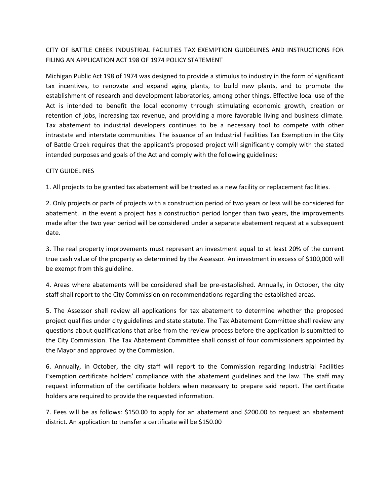# CITY OF BATTLE CREEK INDUSTRIAL FACILITIES TAX EXEMPTION GUIDELINES AND INSTRUCTIONS FOR FILING AN APPLICATION ACT 198 OF 1974 POLICY STATEMENT

Michigan Public Act 198 of 1974 was designed to provide a stimulus to industry in the form of significant tax incentives, to renovate and expand aging plants, to build new plants, and to promote the establishment of research and development laboratories, among other things. Effective local use of the Act is intended to benefit the local economy through stimulating economic growth, creation or retention of jobs, increasing tax revenue, and providing a more favorable living and business climate. Tax abatement to industrial developers continues to be a necessary tool to compete with other intrastate and interstate communities. The issuance of an Industrial Facilities Tax Exemption in the City of Battle Creek requires that the applicant's proposed project will significantly comply with the stated intended purposes and goals of the Act and comply with the following guidelines:

## CITY GUIDELINES

1. All projects to be granted tax abatement will be treated as a new facility or replacement facilities.

2. Only projects or parts of projects with a construction period of two years or less will be considered for abatement. In the event a project has a construction period longer than two years, the improvements made after the two year period will be considered under a separate abatement request at a subsequent date.

3. The real property improvements must represent an investment equal to at least 20% of the current true cash value of the property as determined by the Assessor. An investment in excess of \$100,000 will be exempt from this guideline.

4. Areas where abatements will be considered shall be pre-established. Annually, in October, the city staff shall report to the City Commission on recommendations regarding the established areas.

5. The Assessor shall review all applications for tax abatement to determine whether the proposed project qualifies under city guidelines and state statute. The Tax Abatement Committee shall review any questions about qualifications that arise from the review process before the application is submitted to the City Commission. The Tax Abatement Committee shall consist of four commissioners appointed by the Mayor and approved by the Commission.

6. Annually, in October, the city staff will report to the Commission regarding Industrial Facilities Exemption certificate holders' compliance with the abatement guidelines and the law. The staff may request information of the certificate holders when necessary to prepare said report. The certificate holders are required to provide the requested information.

7. Fees will be as follows: \$150.00 to apply for an abatement and \$200.00 to request an abatement district. An application to transfer a certificate will be \$150.00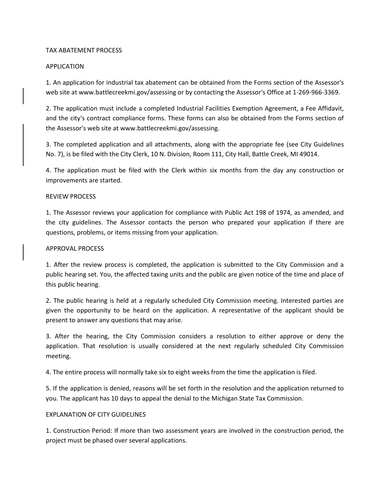## TAX ABATEMENT PROCESS

## APPLICATION

1. An application for industrial tax abatement can be obtained from the Forms section of the Assessor's web site at www.battlecreekmi.gov/assessing or by contacting the Assessor's Office at 1-269-966-3369.

2. The application must include a completed Industrial Facilities Exemption Agreement, a Fee Affidavit, and the city's contract compliance forms. These forms can also be obtained from the Forms section of the Assessor's web site at www.battlecreekmi.gov/assessing.

3. The completed application and all attachments, along with the appropriate fee (see City Guidelines No. 7), is be filed with the City Clerk, 10 N. Division, Room 111, City Hall, Battle Creek, MI 49014.

4. The application must be filed with the Clerk within six months from the day any construction or improvements are started.

## REVIEW PROCESS

1. The Assessor reviews your application for compliance with Public Act 198 of 1974, as amended, and the city guidelines. The Assessor contacts the person who prepared your application if there are questions, problems, or items missing from your application.

#### APPROVAL PROCESS

1. After the review process is completed, the application is submitted to the City Commission and a public hearing set. You, the affected taxing units and the public are given notice of the time and place of this public hearing.

2. The public hearing is held at a regularly scheduled City Commission meeting. Interested parties are given the opportunity to be heard on the application. A representative of the applicant should be present to answer any questions that may arise.

3. After the hearing, the City Commission considers a resolution to either approve or deny the application. That resolution is usually considered at the next regularly scheduled City Commission meeting.

4. The entire process will normally take six to eight weeks from the time the application is filed.

5. If the application is denied, reasons will be set forth in the resolution and the application returned to you. The applicant has 10 days to appeal the denial to the Michigan State Tax Commission.

# EXPLANATION OF CITY GUIDELINES

1. Construction Period: If more than two assessment years are involved in the construction period, the project must be phased over several applications.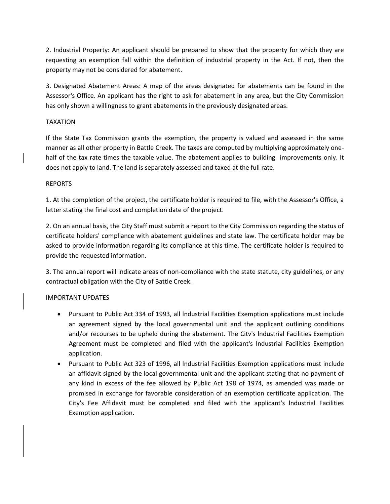2. Industrial Property: An applicant should be prepared to show that the property for which they are requesting an exemption fall within the definition of industrial property in the Act. If not, then the property may not be considered for abatement.

3. Designated Abatement Areas: A map of the areas designated for abatements can be found in the Assessor's Office. An applicant has the right to ask for abatement in any area, but the City Commission has only shown a willingness to grant abatements in the previously designated areas.

# TAXATION

If the State Tax Commission grants the exemption, the property is valued and assessed in the same manner as all other property in Battle Creek. The taxes are computed by multiplying approximately onehalf of the tax rate times the taxable value. The abatement applies to building improvements only. It does not apply to land. The land is separately assessed and taxed at the full rate.

# REPORTS

1. At the completion of the project, the certificate holder is required to file, with the Assessor's Office, a letter stating the final cost and completion date of the project.

2. On an annual basis, the City Staff must submit a report to the City Commission regarding the status of certificate holders' compliance with abatement guidelines and state law. The certificate holder may be asked to provide information regarding its compliance at this time. The certificate holder is required to provide the requested information.

3. The annual report will indicate areas of non-compliance with the state statute, city guidelines, or any contractual obligation with the City of Battle Creek.

# IMPORTANT UPDATES

- Pursuant to Public Act 334 of 1993, all lndustrial Facilities Exemption applications must include an agreement signed by the local governmental unit and the applicant outlining conditions and/or recourses to be upheld during the abatement. The Citv's lndustrial Facilities Exemption Agreement must be completed and filed with the applicant's lndustrial Facilities Exemption application.
- Pursuant to Public Act 323 of 1996, all lndustrial Facilities Exemption applications must include an affidavit signed by the local governmental unit and the applicant stating that no payment of any kind in excess of the fee allowed by Public Act 198 of 1974, as amended was made or promised in exchange for favorable consideration of an exemption certificate application. The City's Fee Affidavit must be completed and filed with the applicant's lndustrial Facilities Exemption application.